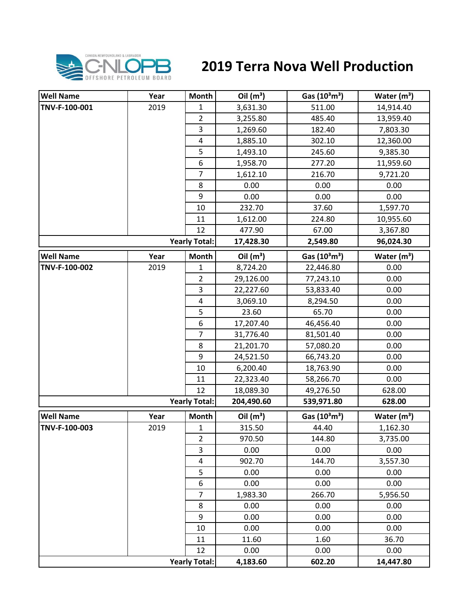

## **2019 Terra Nova Well Production**

| <b>Well Name</b> | Year | Month                | Oil $(m^3)$ | Gas $(10^3 \text{m}^3)$               | Water $(m^3)$           |
|------------------|------|----------------------|-------------|---------------------------------------|-------------------------|
| TNV-F-100-001    | 2019 | $\mathbf{1}$         | 3,631.30    | 511.00                                | 14,914.40               |
|                  |      | $\overline{2}$       | 3,255.80    | 485.40                                | 13,959.40               |
|                  |      | 3                    | 1,269.60    | 182.40                                | 7,803.30                |
|                  |      | $\pmb{4}$            | 1,885.10    | 302.10                                | 12,360.00               |
|                  |      | 5                    | 1,493.10    | 245.60                                | 9,385.30                |
|                  |      | 6                    | 1,958.70    | 277.20                                | 11,959.60               |
|                  |      | $\overline{7}$       | 1,612.10    | 216.70                                | 9,721.20                |
|                  |      | 8                    | 0.00        | 0.00                                  | 0.00                    |
|                  |      | 9                    | 0.00        | 0.00                                  | 0.00                    |
|                  |      | 10                   | 232.70      | 37.60                                 | 1,597.70                |
|                  |      | 11                   | 1,612.00    | 224.80                                | 10,955.60               |
|                  |      | 12                   | 477.90      | 67.00                                 | 3,367.80                |
|                  |      | <b>Yearly Total:</b> | 17,428.30   | 2,549.80                              | 96,024.30               |
| <b>Well Name</b> | Year | <b>Month</b>         | Oil $(m^3)$ | Gas (10 <sup>3</sup> m <sup>3</sup> ) | Water $(m^3)$           |
| TNV-F-100-002    | 2019 | 1                    | 8,724.20    | 22,446.80                             | 0.00                    |
|                  |      | $\overline{2}$       | 29,126.00   | 77,243.10                             | 0.00                    |
|                  |      | 3                    | 22,227.60   | 53,833.40                             | 0.00                    |
|                  |      | 4                    | 3,069.10    | 8,294.50                              | 0.00                    |
|                  |      | 5                    | 23.60       | 65.70                                 | 0.00                    |
|                  |      | 6                    | 17,207.40   | 46,456.40                             | 0.00                    |
|                  |      | $\overline{7}$       | 31,776.40   | 81,501.40                             | 0.00                    |
|                  |      | 8                    | 21,201.70   | 57,080.20                             | 0.00                    |
|                  |      | 9                    | 24,521.50   | 66,743.20                             | 0.00                    |
|                  |      | 10                   | 6,200.40    | 18,763.90                             | 0.00                    |
|                  |      | 11                   | 22,323.40   | 58,266.70                             | 0.00                    |
|                  |      | 12                   | 18,089.30   | 49,276.50                             | 628.00                  |
|                  |      | <b>Yearly Total:</b> | 204,490.60  | 539,971.80                            | 628.00                  |
| <b>Well Name</b> | Year | <b>Month</b>         | Oil $(m^3)$ | Gas $(10^3 \text{m}^3)$               | Water (m <sup>3</sup> ) |
| TNV-F-100-003    | 2019 | $\mathbf{1}$         | 315.50      | 44.40                                 | 1,162.30                |
|                  |      | $\overline{2}$       | 970.50      | 144.80                                | 3,735.00                |
|                  |      | 3                    | 0.00        | 0.00                                  | 0.00                    |
|                  |      | $\overline{4}$       | 902.70      | 144.70                                | 3,557.30                |
|                  |      | 5                    | 0.00        | 0.00                                  | 0.00                    |
|                  |      | 6                    | 0.00        | 0.00                                  | 0.00                    |
|                  |      | $\overline{7}$       | 1,983.30    | 266.70                                | 5,956.50                |
|                  |      | 8                    | 0.00        | 0.00                                  | 0.00                    |
|                  |      | 9                    | 0.00        | 0.00                                  | 0.00                    |
|                  |      | 10                   | 0.00        | 0.00                                  | 0.00                    |
|                  |      | 11                   | 11.60       | 1.60                                  | 36.70                   |
|                  |      | 12                   | 0.00        | 0.00                                  | 0.00                    |
|                  |      | <b>Yearly Total:</b> | 4,183.60    | 602.20                                | 14,447.80               |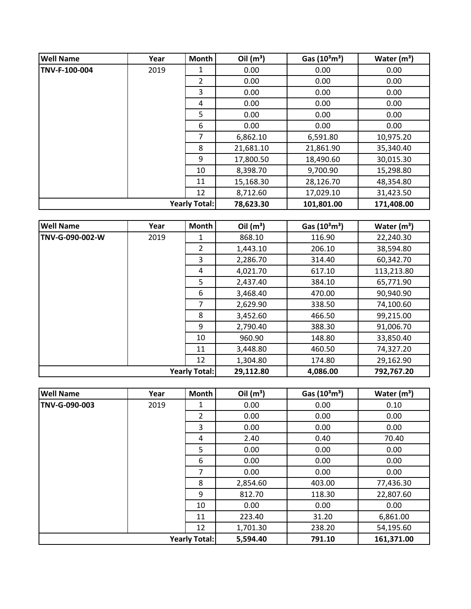| <b>Well Name</b> | Year | Month                | Oil $(m^3)$ | Gas $(10^3 \text{m}^3)$ | Water $(m^3)$ |
|------------------|------|----------------------|-------------|-------------------------|---------------|
| TNV-F-100-004    | 2019 | 1                    | 0.00        | 0.00                    | 0.00          |
|                  |      | $\overline{2}$       | 0.00        | 0.00                    | 0.00          |
|                  |      | 3                    | 0.00        | 0.00                    | 0.00          |
|                  |      | 4                    | 0.00        | 0.00                    | 0.00          |
|                  |      | 5                    | 0.00        | 0.00                    | 0.00          |
|                  |      | 6                    | 0.00        | 0.00                    | 0.00          |
|                  |      | 7                    | 6,862.10    | 6,591.80                | 10,975.20     |
|                  |      | 8                    | 21,681.10   | 21,861.90               | 35,340.40     |
|                  |      | 9                    | 17,800.50   | 18,490.60               | 30,015.30     |
|                  |      | 10                   | 8,398.70    | 9,700.90                | 15,298.80     |
|                  |      | 11                   | 15,168.30   | 28,126.70               | 48,354.80     |
|                  |      | 12                   | 8,712.60    | 17,029.10               | 31,423.50     |
|                  |      | <b>Yearly Total:</b> | 78,623.30   | 101,801.00              | 171,408.00    |

| <b>Well Name</b>     | Year | <b>Month</b> | Oil $(m^3)$ | Gas $(10^3 \text{m}^3)$ | Water $(m^3)$ |
|----------------------|------|--------------|-------------|-------------------------|---------------|
| TNV-G-090-002-W      | 2019 | 1            | 868.10      | 116.90                  | 22,240.30     |
|                      |      | 2            | 1,443.10    | 206.10                  | 38,594.80     |
|                      |      | 3            | 2,286.70    | 314.40                  | 60,342.70     |
|                      |      | 4            | 4,021.70    | 617.10                  | 113,213.80    |
|                      |      | 5            | 2,437.40    | 384.10                  | 65,771.90     |
|                      |      | 6            | 3,468.40    | 470.00                  | 90,940.90     |
|                      |      | 7            | 2,629.90    | 338.50                  | 74,100.60     |
|                      |      | 8            | 3,452.60    | 466.50                  | 99,215.00     |
|                      |      | 9            | 2,790.40    | 388.30                  | 91,006.70     |
|                      |      | 10           | 960.90      | 148.80                  | 33,850.40     |
|                      |      | 11           | 3,448.80    | 460.50                  | 74,327.20     |
|                      |      | 12           | 1,304.80    | 174.80                  | 29,162.90     |
| <b>Yearly Total:</b> |      |              | 29,112.80   | 4,086.00                | 792,767.20    |

| <b>Well Name</b>     | Year | Month          | Oil $(m^3)$ | Gas $(10^3 \text{m}^3)$ | Water $(m^3)$ |
|----------------------|------|----------------|-------------|-------------------------|---------------|
| TNV-G-090-003        | 2019 | 1              | 0.00        | 0.00                    | 0.10          |
|                      |      | $\overline{2}$ | 0.00        | 0.00                    | 0.00          |
|                      |      | 3              | 0.00        | 0.00                    | 0.00          |
|                      |      | 4              | 2.40        | 0.40                    | 70.40         |
|                      |      | 5              | 0.00        | 0.00                    | 0.00          |
|                      |      | 6              | 0.00        | 0.00                    | 0.00          |
|                      |      | 7              | 0.00        | 0.00                    | 0.00          |
|                      |      | 8              | 2,854.60    | 403.00                  | 77,436.30     |
|                      |      | 9              | 812.70      | 118.30                  | 22,807.60     |
|                      |      | 10             | 0.00        | 0.00                    | 0.00          |
|                      |      | 11             | 223.40      | 31.20                   | 6,861.00      |
|                      |      | 12             | 1,701.30    | 238.20                  | 54,195.60     |
| <b>Yearly Total:</b> |      |                | 5,594.40    | 791.10                  | 161,371.00    |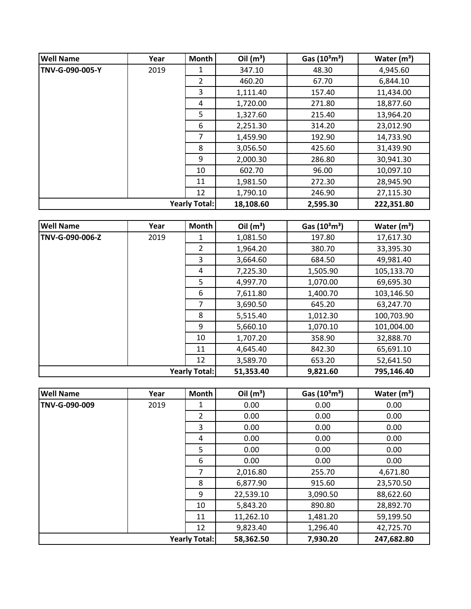| <b>Well Name</b> | Year                 | <b>Month</b>   | Oil $(m^3)$ | Gas $(10^3 \text{m}^3)$ | Water $(m^3)$ |
|------------------|----------------------|----------------|-------------|-------------------------|---------------|
| TNV-G-090-005-Y  | 2019                 | 1              | 347.10      | 48.30                   | 4,945.60      |
|                  |                      | $\overline{2}$ | 460.20      | 67.70                   | 6,844.10      |
|                  |                      | 3              | 1,111.40    | 157.40                  | 11,434.00     |
|                  |                      | 4              | 1,720.00    | 271.80                  | 18,877.60     |
|                  |                      | 5              | 1,327.60    | 215.40                  | 13,964.20     |
|                  |                      | 6              | 2,251.30    | 314.20                  | 23,012.90     |
|                  |                      | 7              | 1,459.90    | 192.90                  | 14,733.90     |
|                  |                      | 8              | 3,056.50    | 425.60                  | 31,439.90     |
|                  |                      | 9              | 2,000.30    | 286.80                  | 30,941.30     |
|                  |                      | 10             | 602.70      | 96.00                   | 10,097.10     |
|                  |                      | 11             | 1,981.50    | 272.30                  | 28,945.90     |
|                  |                      | 12             | 1,790.10    | 246.90                  | 27,115.30     |
|                  | <b>Yearly Total:</b> |                | 18,108.60   | 2,595.30                | 222,351.80    |

| <b>Well Name</b>     | Year | <b>Month</b> | Oil $(m^3)$ | Gas $(10^3 \text{m}^3)$ | Water $(m^3)$ |
|----------------------|------|--------------|-------------|-------------------------|---------------|
| TNV-G-090-006-Z      | 2019 | 1            | 1,081.50    | 197.80                  | 17,617.30     |
|                      |      | 2            | 1,964.20    | 380.70                  | 33,395.30     |
|                      |      | 3            | 3,664.60    | 684.50                  | 49,981.40     |
|                      |      | 4            | 7,225.30    | 1,505.90                | 105,133.70    |
|                      |      | 5            | 4,997.70    | 1,070.00                | 69,695.30     |
|                      |      | 6            | 7,611.80    | 1,400.70                | 103,146.50    |
|                      |      | 7            | 3,690.50    | 645.20                  | 63,247.70     |
|                      |      | 8            | 5,515.40    | 1,012.30                | 100,703.90    |
|                      |      | 9            | 5,660.10    | 1,070.10                | 101,004.00    |
|                      |      | 10           | 1,707.20    | 358.90                  | 32,888.70     |
|                      |      | 11           | 4,645.40    | 842.30                  | 65,691.10     |
|                      |      | 12           | 3,589.70    | 653.20                  | 52,641.50     |
| <b>Yearly Total:</b> |      | 51,353.40    | 9,821.60    | 795,146.40              |               |

| <b>Well Name</b>     | Year | <b>Month</b> | Oil $(m^3)$ | Gas $(10^3 \text{m}^3)$ | Water $(m^3)$ |
|----------------------|------|--------------|-------------|-------------------------|---------------|
| TNV-G-090-009        | 2019 | 1            | 0.00        | 0.00                    | 0.00          |
|                      |      | 2            | 0.00        | 0.00                    | 0.00          |
|                      |      | 3            | 0.00        | 0.00                    | 0.00          |
|                      |      | 4            | 0.00        | 0.00                    | 0.00          |
|                      |      | 5            | 0.00        | 0.00                    | 0.00          |
|                      |      | 6            | 0.00        | 0.00                    | 0.00          |
|                      |      | 7            | 2,016.80    | 255.70                  | 4,671.80      |
|                      |      | 8            | 6,877.90    | 915.60                  | 23,570.50     |
|                      |      | 9            | 22,539.10   | 3,090.50                | 88,622.60     |
|                      |      | 10           | 5,843.20    | 890.80                  | 28,892.70     |
|                      |      | 11           | 11,262.10   | 1,481.20                | 59,199.50     |
|                      |      | 12           | 9,823.40    | 1,296.40                | 42,725.70     |
| <b>Yearly Total:</b> |      |              | 58,362.50   | 7,930.20                | 247,682.80    |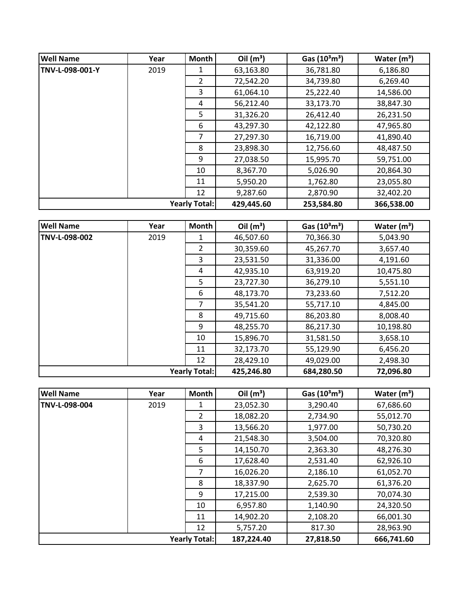| <b>Well Name</b>     | Year | Month         | Oil $(m^3)$ | Gas $(10^3 \text{m}^3)$ | Water $(m^3)$ |
|----------------------|------|---------------|-------------|-------------------------|---------------|
| TNV-L-098-001-Y      | 2019 |               | 63,163.80   | 36,781.80               | 6,186.80      |
|                      |      | $\mathcal{P}$ | 72,542.20   | 34,739.80               | 6,269.40      |
|                      |      | 3             | 61,064.10   | 25,222.40               | 14,586.00     |
|                      |      | 4             | 56,212.40   | 33,173.70               | 38,847.30     |
|                      |      | 5             | 31,326.20   | 26,412.40               | 26,231.50     |
|                      |      | 6             | 43,297.30   | 42,122.80               | 47,965.80     |
|                      |      | 7             | 27,297.30   | 16,719.00               | 41,890.40     |
|                      |      | 8             | 23,898.30   | 12,756.60               | 48,487.50     |
|                      |      | 9             | 27,038.50   | 15,995.70               | 59,751.00     |
|                      |      | 10            | 8,367.70    | 5,026.90                | 20,864.30     |
|                      |      | 11            | 5,950.20    | 1,762.80                | 23,055.80     |
|                      |      | 12            | 9,287.60    | 2,870.90                | 32,402.20     |
| <b>Yearly Total:</b> |      |               | 429,445.60  | 253,584.80              | 366,538.00    |

| <b>Well Name</b> | Year | <b>Month</b>         | Oil $(m^3)$ | Gas $(10^3 \text{m}^3)$ | Water $(m^3)$ |
|------------------|------|----------------------|-------------|-------------------------|---------------|
| TNV-L-098-002    | 2019 | 1                    | 46,507.60   | 70,366.30               | 5,043.90      |
|                  |      | $\overline{2}$       | 30,359.60   | 45,267.70               | 3,657.40      |
|                  |      | 3                    | 23,531.50   | 31,336.00               | 4,191.60      |
|                  |      | 4                    | 42,935.10   | 63,919.20               | 10,475.80     |
|                  |      | 5                    | 23,727.30   | 36,279.10               | 5,551.10      |
|                  |      | 6                    | 48,173.70   | 73,233.60               | 7,512.20      |
|                  |      | 7                    | 35,541.20   | 55,717.10               | 4,845.00      |
|                  |      | 8                    | 49,715.60   | 86,203.80               | 8,008.40      |
|                  |      | 9                    | 48,255.70   | 86,217.30               | 10,198.80     |
|                  |      | 10                   | 15,896.70   | 31,581.50               | 3,658.10      |
|                  |      | 11                   | 32,173.70   | 55,129.90               | 6,456.20      |
|                  |      | 12                   | 28,429.10   | 49,029.00               | 2,498.30      |
|                  |      | <b>Yearly Total:</b> | 425,246.80  | 684,280.50              | 72,096.80     |

| <b>Well Name</b>     | Year | <b>Month</b>   | Oil $(m^3)$ | Gas $(10^3 \text{m}^3)$ | Water $(m^3)$ |
|----------------------|------|----------------|-------------|-------------------------|---------------|
| TNV-L-098-004        | 2019 | 1              | 23,052.30   | 3,290.40                | 67,686.60     |
|                      |      | $\overline{2}$ | 18,082.20   | 2,734.90                | 55,012.70     |
|                      |      | 3              | 13,566.20   | 1,977.00                | 50,730.20     |
|                      |      | 4              | 21,548.30   | 3,504.00                | 70,320.80     |
|                      |      | 5              | 14,150.70   | 2,363.30                | 48,276.30     |
|                      |      | 6              | 17,628.40   | 2,531.40                | 62,926.10     |
|                      |      | 7              | 16,026.20   | 2,186.10                | 61,052.70     |
|                      |      | 8              | 18,337.90   | 2,625.70                | 61,376.20     |
|                      |      | 9              | 17,215.00   | 2,539.30                | 70,074.30     |
|                      |      | 10             | 6,957.80    | 1,140.90                | 24,320.50     |
|                      |      | 11             | 14,902.20   | 2,108.20                | 66,001.30     |
|                      |      | 12             | 5,757.20    | 817.30                  | 28,963.90     |
| <b>Yearly Total:</b> |      |                | 187,224.40  | 27,818.50               | 666,741.60    |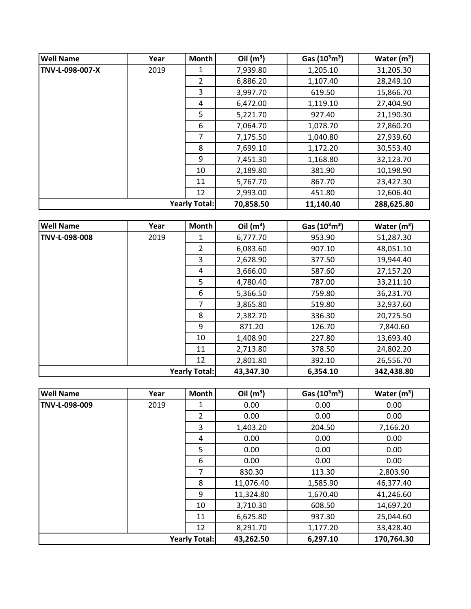| <b>Well Name</b>     | Year | Month | Oil $(m^3)$ | Gas $(10^3 \text{m}^3)$ | Water $(m^3)$ |
|----------------------|------|-------|-------------|-------------------------|---------------|
| TNV-L-098-007-X      | 2019 | 1     | 7,939.80    | 1,205.10                | 31,205.30     |
|                      |      | 2     | 6,886.20    | 1,107.40                | 28,249.10     |
|                      |      | 3     | 3,997.70    | 619.50                  | 15,866.70     |
|                      |      | 4     | 6,472.00    | 1,119.10                | 27,404.90     |
|                      |      | 5     | 5,221.70    | 927.40                  | 21,190.30     |
|                      |      | 6     | 7,064.70    | 1,078.70                | 27,860.20     |
|                      |      | 7     | 7,175.50    | 1,040.80                | 27,939.60     |
|                      |      | 8     | 7,699.10    | 1,172.20                | 30,553.40     |
|                      |      | 9     | 7,451.30    | 1,168.80                | 32,123.70     |
|                      |      | 10    | 2,189.80    | 381.90                  | 10,198.90     |
|                      |      | 11    | 5,767.70    | 867.70                  | 23,427.30     |
|                      |      | 12    | 2,993.00    | 451.80                  | 12,606.40     |
| <b>Yearly Total:</b> |      |       | 70,858.50   | 11,140.40               | 288,625.80    |

| <b>Well Name</b>     | Year | <b>Month</b> | Oil $(m^3)$ | Gas $(10^3 \text{m}^3)$ | Water $(m^3)$ |
|----------------------|------|--------------|-------------|-------------------------|---------------|
| TNV-L-098-008        | 2019 | 1            | 6,777.70    | 953.90                  | 51,287.30     |
|                      |      | 2            | 6,083.60    | 907.10                  | 48,051.10     |
|                      |      | 3            | 2,628.90    | 377.50                  | 19,944.40     |
|                      |      | 4            | 3,666.00    | 587.60                  | 27,157.20     |
|                      |      | 5            | 4,780.40    | 787.00                  | 33,211.10     |
|                      |      | 6            | 5,366.50    | 759.80                  | 36,231.70     |
|                      |      | 7            | 3,865.80    | 519.80                  | 32,937.60     |
|                      |      | 8            | 2,382.70    | 336.30                  | 20,725.50     |
|                      |      | 9            | 871.20      | 126.70                  | 7,840.60      |
|                      |      | 10           | 1,408.90    | 227.80                  | 13,693.40     |
|                      |      | 11           | 2,713.80    | 378.50                  | 24,802.20     |
|                      |      | 12           | 2,801.80    | 392.10                  | 26,556.70     |
| <b>Yearly Total:</b> |      |              | 43,347.30   | 6,354.10                | 342,438.80    |

| <b>Well Name</b>     | Year | <b>Month</b>   | Oil $(m^3)$ | Gas $(10^3 \text{m}^3)$ | Water $(m^3)$ |
|----------------------|------|----------------|-------------|-------------------------|---------------|
| TNV-L-098-009        | 2019 | 1              | 0.00        | 0.00                    | 0.00          |
|                      |      | $\overline{2}$ | 0.00        | 0.00                    | 0.00          |
|                      |      | 3              | 1,403.20    | 204.50                  | 7,166.20      |
|                      |      | 4              | 0.00        | 0.00                    | 0.00          |
|                      |      | 5              | 0.00        | 0.00                    | 0.00          |
|                      |      | 6              | 0.00        | 0.00                    | 0.00          |
|                      |      | 7              | 830.30      | 113.30                  | 2,803.90      |
|                      |      | 8              | 11,076.40   | 1,585.90                | 46,377.40     |
|                      |      | 9              | 11,324.80   | 1,670.40                | 41,246.60     |
|                      |      | 10             | 3,710.30    | 608.50                  | 14,697.20     |
|                      |      | 11             | 6,625.80    | 937.30                  | 25,044.60     |
|                      |      | 12             | 8,291.70    | 1,177.20                | 33,428.40     |
| <b>Yearly Total:</b> |      | 43,262.50      | 6,297.10    | 170,764.30              |               |